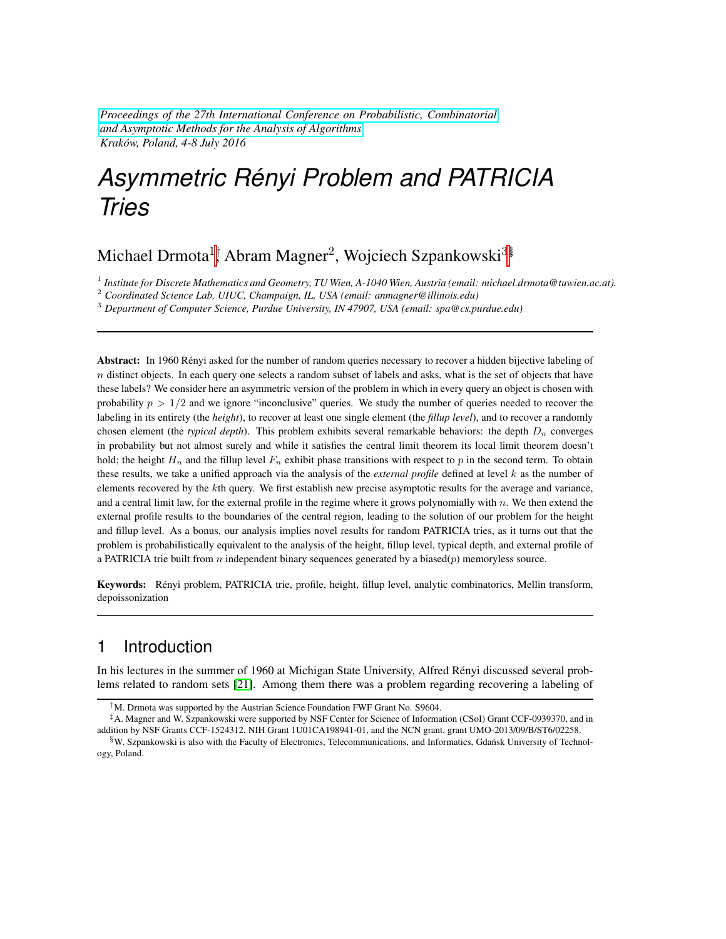*[Proceedings of the 27th International Conference on Probabilistic, Combinatorial](http://aofa.tcs.uj.edu.pl/accepted-papers.html) [and Asymptotic Methods for the Analysis of Algorithms](http://aofa.tcs.uj.edu.pl/accepted-papers.html) Krakow, Poland, 4-8 July 2016 ´*

# *Asymmetric Renyi Problem and PATRICIA ´ Tries*

# Michael Drmota $^{1\dagger}$  Abram Magner $^{2}$ , Wojciech Szpankowski $^{3\$

1 *Institute for Discrete Mathematics and Geometry, TU Wien, A-1040 Wien, Austria (email: michael.drmota@tuwien.ac.at).*

<sup>2</sup> *Coordinated Science Lab, UIUC, Champaign, IL, USA (email: anmagner@illinois.edu)*

<sup>3</sup> *Department of Computer Science, Purdue University, IN 47907, USA (email: spa@cs.purdue.edu)*

Abstract: In 1960 Rényi asked for the number of random queries necessary to recover a hidden bijective labeling of  $n$  distinct objects. In each query one selects a random subset of labels and asks, what is the set of objects that have these labels? We consider here an asymmetric version of the problem in which in every query an object is chosen with probability  $p > 1/2$  and we ignore "inconclusive" queries. We study the number of queries needed to recover the labeling in its entirety (the *height*), to recover at least one single element (the *fillup level*), and to recover a randomly chosen element (the *typical depth*). This problem exhibits several remarkable behaviors: the depth  $D_n$  converges in probability but not almost surely and while it satisfies the central limit theorem its local limit theorem doesn't hold; the height  $H_n$  and the fillup level  $F_n$  exhibit phase transitions with respect to p in the second term. To obtain these results, we take a unified approach via the analysis of the *external profile* defined at level  $k$  as the number of elements recovered by the kth query. We first establish new precise asymptotic results for the average and variance, and a central limit law, for the external profile in the regime where it grows polynomially with  $n$ . We then extend the external profile results to the boundaries of the central region, leading to the solution of our problem for the height and fillup level. As a bonus, our analysis implies novel results for random PATRICIA tries, as it turns out that the problem is probabilistically equivalent to the analysis of the height, fillup level, typical depth, and external profile of a PATRICIA trie built from  $n$  independent binary sequences generated by a biased $(p)$  memoryless source.

Keywords: Rényi problem, PATRICIA trie, profile, height, fillup level, analytic combinatorics, Mellin transform, depoissonization

## 1 Introduction

In his lectures in the summer of 1960 at Michigan State University, Alfred Renyi discussed several prob- ´ lems related to random sets [\[21\]](#page-17-0). Among them there was a problem regarding recovering a labeling of

<sup>†</sup>M. Drmota was supported by the Austrian Science Foundation FWF Grant No. S9604.

<sup>‡</sup>A. Magner and W. Szpankowski were supported by NSF Center for Science of Information (CSoI) Grant CCF-0939370, and in addition by NSF Grants CCF-1524312, NIH Grant 1U01CA198941-01, and the NCN grant, grant UMO-2013/09/B/ST6/02258.

<sup>§</sup>W. Szpankowski is also with the Faculty of Electronics, Telecommunications, and Informatics, Gdansk University of Technol- ´ ogy, Poland.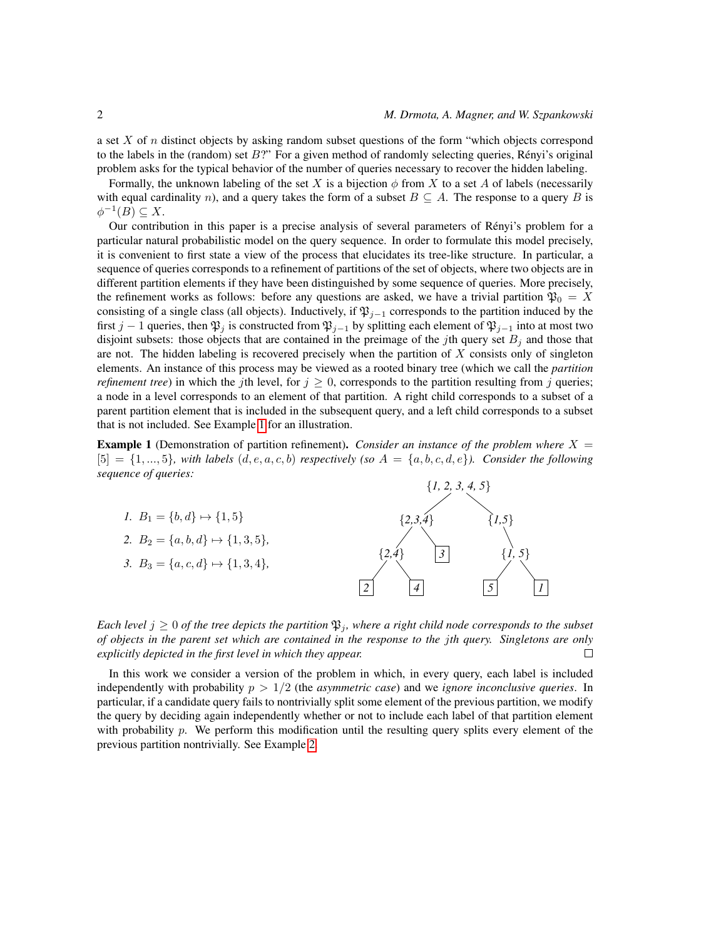a set X of n distinct objects by asking random subset questions of the form "which objects correspond to the labels in the (random) set  $B$ ?" For a given method of randomly selecting queries, Rényi's original problem asks for the typical behavior of the number of queries necessary to recover the hidden labeling.

Formally, the unknown labeling of the set X is a bijection  $\phi$  from X to a set A of labels (necessarily with equal cardinality n), and a query takes the form of a subset  $B \subseteq A$ . The response to a query B is  $\phi^{-1}(B) \subseteq X$ .

Our contribution in this paper is a precise analysis of several parameters of Renyi's problem for a ´ particular natural probabilistic model on the query sequence. In order to formulate this model precisely, it is convenient to first state a view of the process that elucidates its tree-like structure. In particular, a sequence of queries corresponds to a refinement of partitions of the set of objects, where two objects are in different partition elements if they have been distinguished by some sequence of queries. More precisely, the refinement works as follows: before any questions are asked, we have a trivial partition  $\mathfrak{P}_0 = X$ consisting of a single class (all objects). Inductively, if  $\mathfrak{P}_{i-1}$  corresponds to the partition induced by the first j − 1 queries, then  $\mathfrak{P}_j$  is constructed from  $\mathfrak{P}_{j-1}$  by splitting each element of  $\mathfrak{P}_{j-1}$  into at most two disjoint subsets: those objects that are contained in the preimage of the jth query set  $B_i$  and those that are not. The hidden labeling is recovered precisely when the partition of  $X$  consists only of singleton elements. An instance of this process may be viewed as a rooted binary tree (which we call the *partition refinement tree*) in which the jth level, for  $j \geq 0$ , corresponds to the partition resulting from j queries; a node in a level corresponds to an element of that partition. A right child corresponds to a subset of a parent partition element that is included in the subsequent query, and a left child corresponds to a subset that is not included. See Example [1](#page-1-0) for an illustration.

<span id="page-1-0"></span>**Example 1** (Demonstration of partition refinement). *Consider an instance of the problem where*  $X =$  $[5] = \{1, ..., 5\}$ *, with labels*  $(d, e, a, c, b)$  *respectively (so A = {a, b, c, d, e}*)*. Consider the following sequence of queries:*

*1.*  $B_1 = \{b, d\} \mapsto \{1, 5\}$ 2.  $B_2 = \{a, b, d\} \mapsto \{1, 3, 5\}$ 3.  $B_3 = \{a, c, d\} \mapsto \{1, 3, 4\}$ 



*Each level*  $j \geq 0$  *of the tree depicts the partition*  $\mathfrak{P}_j$ *, where a right child node corresponds to the subset of objects in the parent set which are contained in the response to the* j*th query. Singletons are only explicitly depicted in the first level in which they appear.*  $\Box$ 

<span id="page-1-1"></span>In this work we consider a version of the problem in which, in every query, each label is included independently with probability p > 1/2 (the *asymmetric case*) and we *ignore inconclusive queries*. In particular, if a candidate query fails to nontrivially split some element of the previous partition, we modify the query by deciding again independently whether or not to include each label of that partition element with probability  $p$ . We perform this modification until the resulting query splits every element of the previous partition nontrivially. See Example [2.](#page-1-1)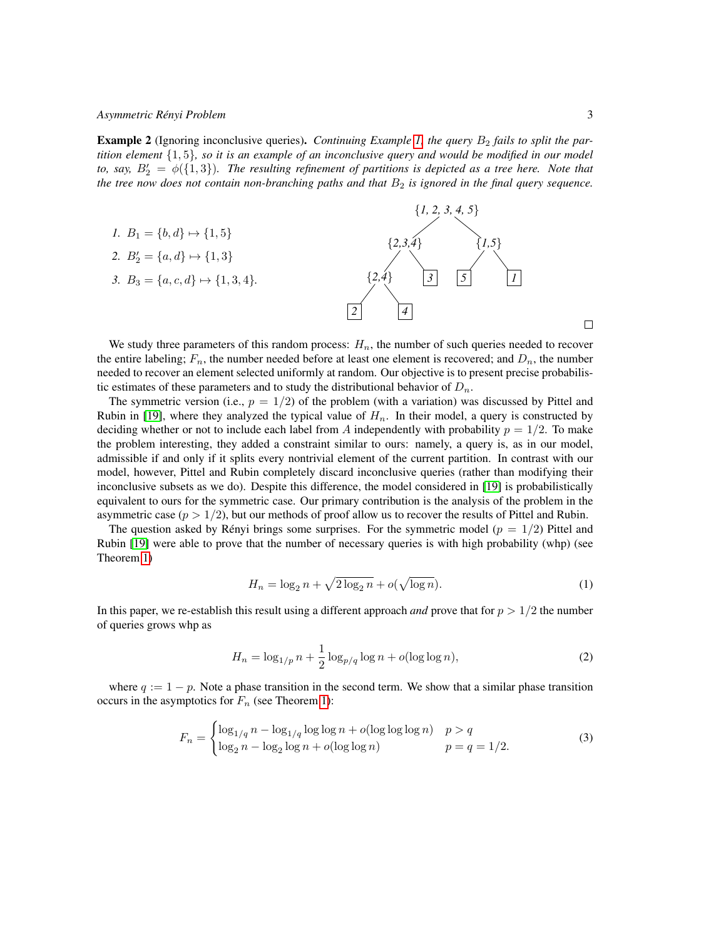**Example 2** (Ignoring inconclusive queries). *Continuing Example [1,](#page-1-0) the query*  $B_2$  *fails to split the partition element* {1, 5}*, so it is an example of an inconclusive query and would be modified in our model* to, say,  $B'_2 = \phi({1,3})$ . The resulting refinement of partitions is depicted as a tree here. Note that *the tree now does not contain non-branching paths and that*  $B_2$  *is ignored in the final query sequence.* 



We study three parameters of this random process:  $H_n$ , the number of such queries needed to recover the entire labeling;  $F_n$ , the number needed before at least one element is recovered; and  $D_n$ , the number needed to recover an element selected uniformly at random. Our objective is to present precise probabilistic estimates of these parameters and to study the distributional behavior of  $D_n$ .

The symmetric version (i.e.,  $p = 1/2$ ) of the problem (with a variation) was discussed by Pittel and Rubin in [\[19\]](#page-16-0), where they analyzed the typical value of  $H_n$ . In their model, a query is constructed by deciding whether or not to include each label from A independently with probability  $p = 1/2$ . To make the problem interesting, they added a constraint similar to ours: namely, a query is, as in our model, admissible if and only if it splits every nontrivial element of the current partition. In contrast with our model, however, Pittel and Rubin completely discard inconclusive queries (rather than modifying their inconclusive subsets as we do). Despite this difference, the model considered in [\[19\]](#page-16-0) is probabilistically equivalent to ours for the symmetric case. Our primary contribution is the analysis of the problem in the asymmetric case  $(p > 1/2)$ , but our methods of proof allow us to recover the results of Pittel and Rubin.

The question asked by Rényi brings some surprises. For the symmetric model ( $p = 1/2$ ) Pittel and Rubin [\[19\]](#page-16-0) were able to prove that the number of necessary queries is with high probability (whp) (see Theorem [1\)](#page-6-0)

<span id="page-2-0"></span>
$$
H_n = \log_2 n + \sqrt{2\log_2 n} + o(\sqrt{\log n}).
$$
 (1)

In this paper, we re-establish this result using a different approach *and* prove that for  $p > 1/2$  the number of queries grows whp as

<span id="page-2-1"></span>
$$
H_n = \log_{1/p} n + \frac{1}{2} \log_{p/q} \log n + o(\log \log n),\tag{2}
$$

where  $q := 1 - p$ . Note a phase transition in the second term. We show that a similar phase transition occurs in the asymptotics for  $F_n$  (see Theorem [1\)](#page-6-0):

$$
F_n = \begin{cases} \log_{1/q} n - \log_{1/q} \log \log n + o(\log \log \log n) & p > q \\ \log_2 n - \log_2 \log n + o(\log \log n) & p = q = 1/2. \end{cases}
$$
(3)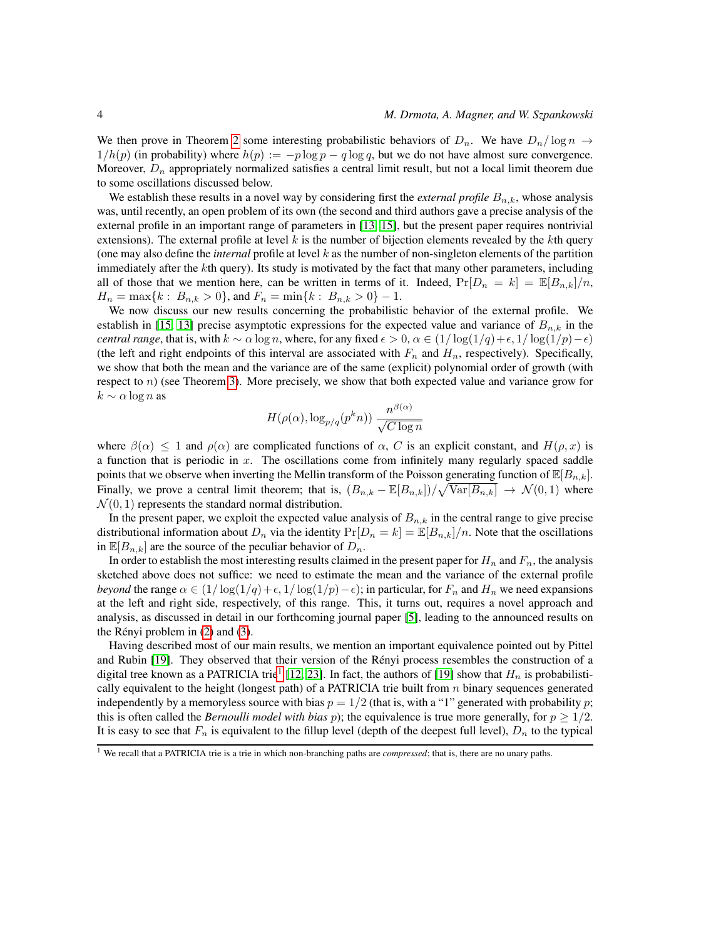We then prove in Theorem [2](#page-6-1) some interesting probabilistic behaviors of  $D_n$ . We have  $D_n/\log n \to$  $1/h(p)$  (in probability) where  $h(p) := -p \log p - q \log q$ , but we do not have almost sure convergence. Moreover,  $D_n$  appropriately normalized satisfies a central limit result, but not a local limit theorem due to some oscillations discussed below.

We establish these results in a novel way by considering first the *external profile*  $B_{n,k}$ , whose analysis was, until recently, an open problem of its own (the second and third authors gave a precise analysis of the external profile in an important range of parameters in [\[13,](#page-16-1) [15\]](#page-16-2), but the present paper requires nontrivial extensions). The external profile at level  $k$  is the number of bijection elements revealed by the  $k$ th query (one may also define the *internal* profile at level  $k$  as the number of non-singleton elements of the partition immediately after the kth query). Its study is motivated by the fact that many other parameters, including all of those that we mention here, can be written in terms of it. Indeed,  $Pr[D_n = k] = \mathbb{E}[B_{n,k}]/n$ ,  $H_n = \max\{k : B_{n,k} > 0\}$ , and  $F_n = \min\{k : B_{n,k} > 0\} - 1$ .

We now discuss our new results concerning the probabilistic behavior of the external profile. We establish in [\[15,](#page-16-2) [13\]](#page-16-1) precise asymptotic expressions for the expected value and variance of  $B_{n,k}$  in the *central range*, that is, with  $k \sim \alpha \log n$ , where, for any fixed  $\epsilon > 0$ ,  $\alpha \in (1/\log(1/q) + \epsilon, 1/\log(1/p) - \epsilon)$ (the left and right endpoints of this interval are associated with  $F_n$  and  $H_n$ , respectively). Specifically, we show that both the mean and the variance are of the same (explicit) polynomial order of growth (with respect to  $n$ ) (see Theorem [3\)](#page-9-0). More precisely, we show that both expected value and variance grow for  $k \sim \alpha \log n$  as

$$
H(\rho(\alpha), \log_{p/q}(p^kn)) \frac{n^{\beta(\alpha)}}{\sqrt{C \log n}}
$$

where  $\beta(\alpha) \leq 1$  and  $\rho(\alpha)$  are complicated functions of  $\alpha$ , C is an explicit constant, and  $H(\rho, x)$  is a function that is periodic in  $x$ . The oscillations come from infinitely many regularly spaced saddle points that we observe when inverting the Mellin transform of the Poisson generating function of  $\mathbb{E}[B_{n,k}]$ . Finally, we prove a central limit theorem; that is,  $(B_{n,k} - \mathbb{E}[B_{n,k}])/\sqrt{\text{Var}[B_{n,k}]} \rightarrow \mathcal{N}(0,1)$  where  $\mathcal{N}(0, 1)$  represents the standard normal distribution.

In the present paper, we exploit the expected value analysis of  $B_{n,k}$  in the central range to give precise distributional information about  $D_n$  via the identity  $Pr[D_n = k] = \mathbb{E}[B_{n,k}]/n$ . Note that the oscillations in  $\mathbb{E}[B_{n,k}]$  are the source of the peculiar behavior of  $D_n$ .

In order to establish the most interesting results claimed in the present paper for  $H_n$  and  $F_n$ , the analysis sketched above does not suffice: we need to estimate the mean and the variance of the external profile *beyond* the range  $\alpha \in (1/\log(1/q) + \epsilon, 1/\log(1/p) - \epsilon)$ ; in particular, for  $F_n$  and  $H_n$  we need expansions at the left and right side, respectively, of this range. This, it turns out, requires a novel approach and analysis, as discussed in detail in our forthcoming journal paper [\[5\]](#page-16-3), leading to the announced results on the Rényi problem in  $(2)$  and  $(3)$ .

Having described most of our main results, we mention an important equivalence pointed out by Pittel and Rubin [\[19\]](#page-16-0). They observed that their version of the Rényi process resembles the construction of a digital tree known as a PATRICIA trie<sup>[1](#page-3-0)</sup> [\[12,](#page-16-4) [23\]](#page-17-1). In fact, the authors of [\[19\]](#page-16-0) show that  $H_n$  is probabilistically equivalent to the height (longest path) of a PATRICIA trie built from  $n$  binary sequences generated independently by a memoryless source with bias  $p = 1/2$  (that is, with a "1" generated with probability p; this is often called the *Bernoulli model with bias* p); the equivalence is true more generally, for  $p \ge 1/2$ . It is easy to see that  $F_n$  is equivalent to the fillup level (depth of the deepest full level),  $D_n$  to the typical

<span id="page-3-0"></span><sup>1</sup> We recall that a PATRICIA trie is a trie in which non-branching paths are *compressed*; that is, there are no unary paths.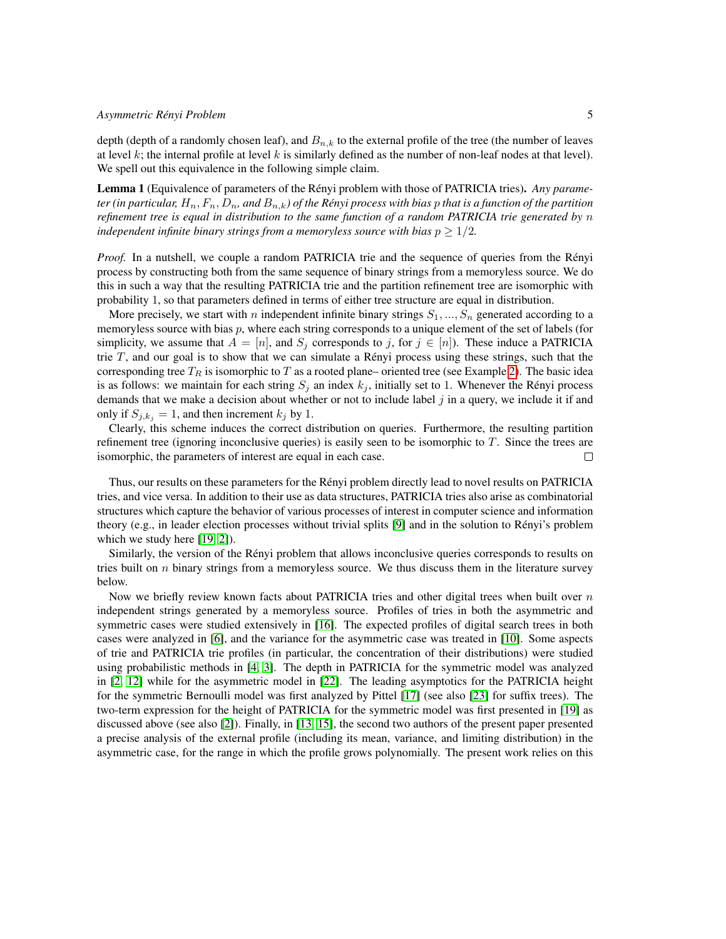depth (depth of a randomly chosen leaf), and  $B_{n,k}$  to the external profile of the tree (the number of leaves at level  $k$ ; the internal profile at level  $k$  is similarly defined as the number of non-leaf nodes at that level). We spell out this equivalence in the following simple claim.

Lemma 1 (Equivalence of parameters of the Rényi problem with those of PATRICIA tries). Any parame*ter (in particular,*  $H_n$ ,  $F_n$ ,  $D_n$ , and  $B_{n,k}$ ) of the Rényi process with bias p that is a function of the partition *refinement tree is equal in distribution to the same function of a random PATRICIA trie generated by* n *independent infinite binary strings from a memoryless source with bias*  $p \geq 1/2$ *.* 

*Proof.* In a nutshell, we couple a random PATRICIA trie and the sequence of queries from the Rényi process by constructing both from the same sequence of binary strings from a memoryless source. We do this in such a way that the resulting PATRICIA trie and the partition refinement tree are isomorphic with probability 1, so that parameters defined in terms of either tree structure are equal in distribution.

More precisely, we start with n independent infinite binary strings  $S_1, ..., S_n$  generated according to a memoryless source with bias  $p$ , where each string corresponds to a unique element of the set of labels (for simplicity, we assume that  $A = [n]$ , and  $S_j$  corresponds to j, for  $j \in [n]$ ). These induce a PATRICIA trie  $T$ , and our goal is to show that we can simulate a Rényi process using these strings, such that the corresponding tree  $T_R$  is isomorphic to T as a rooted plane– oriented tree (see Example [2\)](#page-1-1). The basic idea is as follows: we maintain for each string  $S_i$  an index  $k_j$ , initially set to 1. Whenever the Rényi process demands that we make a decision about whether or not to include label  $j$  in a query, we include it if and only if  $S_{i,k_i} = 1$ , and then increment  $k_i$  by 1.

Clearly, this scheme induces the correct distribution on queries. Furthermore, the resulting partition refinement tree (ignoring inconclusive queries) is easily seen to be isomorphic to  $T$ . Since the trees are isomorphic, the parameters of interest are equal in each case.  $\Box$ 

Thus, our results on these parameters for the Renyi problem directly lead to novel results on PATRICIA ´ tries, and vice versa. In addition to their use as data structures, PATRICIA tries also arise as combinatorial structures which capture the behavior of various processes of interest in computer science and information theory (e.g., in leader election processes without trivial splits [\[9\]](#page-16-5) and in the solution to Renyi's problem ´ which we study here [\[19,](#page-16-0) [2\]](#page-15-0)).

Similarly, the version of the Renyi problem that allows inconclusive queries corresponds to results on ´ tries built on  $n$  binary strings from a memoryless source. We thus discuss them in the literature survey below.

Now we briefly review known facts about PATRICIA tries and other digital trees when built over  $n$ independent strings generated by a memoryless source. Profiles of tries in both the asymmetric and symmetric cases were studied extensively in [\[16\]](#page-16-6). The expected profiles of digital search trees in both cases were analyzed in [\[6\]](#page-16-7), and the variance for the asymmetric case was treated in [\[10\]](#page-16-8). Some aspects of trie and PATRICIA trie profiles (in particular, the concentration of their distributions) were studied using probabilistic methods in [\[4,](#page-16-9) [3\]](#page-16-10). The depth in PATRICIA for the symmetric model was analyzed in [\[2,](#page-15-0) [12\]](#page-16-4) while for the asymmetric model in [\[22\]](#page-17-2). The leading asymptotics for the PATRICIA height for the symmetric Bernoulli model was first analyzed by Pittel [\[17\]](#page-16-11) (see also [\[23\]](#page-17-1) for suffix trees). The two-term expression for the height of PATRICIA for the symmetric model was first presented in [\[19\]](#page-16-0) as discussed above (see also [\[2\]](#page-15-0)). Finally, in [\[13,](#page-16-1) [15\]](#page-16-2), the second two authors of the present paper presented a precise analysis of the external profile (including its mean, variance, and limiting distribution) in the asymmetric case, for the range in which the profile grows polynomially. The present work relies on this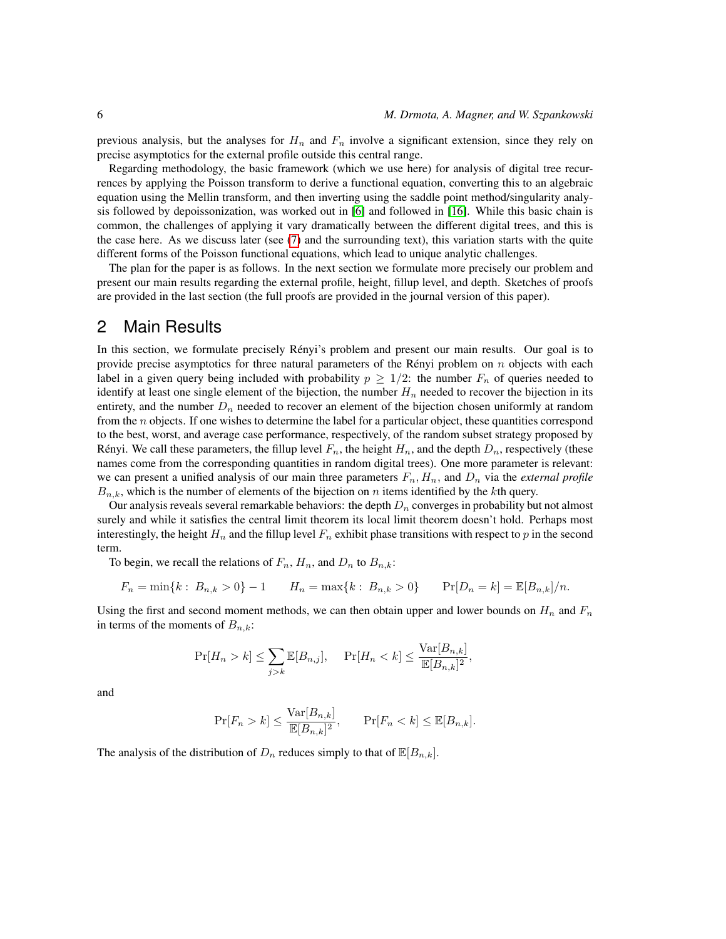previous analysis, but the analyses for  $H_n$  and  $F_n$  involve a significant extension, since they rely on precise asymptotics for the external profile outside this central range.

Regarding methodology, the basic framework (which we use here) for analysis of digital tree recurrences by applying the Poisson transform to derive a functional equation, converting this to an algebraic equation using the Mellin transform, and then inverting using the saddle point method/singularity analysis followed by depoissonization, was worked out in [\[6\]](#page-16-7) and followed in [\[16\]](#page-16-6). While this basic chain is common, the challenges of applying it vary dramatically between the different digital trees, and this is the case here. As we discuss later (see  $(7)$  and the surrounding text), this variation starts with the quite different forms of the Poisson functional equations, which lead to unique analytic challenges.

The plan for the paper is as follows. In the next section we formulate more precisely our problem and present our main results regarding the external profile, height, fillup level, and depth. Sketches of proofs are provided in the last section (the full proofs are provided in the journal version of this paper).

### 2 Main Results

In this section, we formulate precisely Rényi's problem and present our main results. Our goal is to provide precise asymptotics for three natural parameters of the Rényi problem on  $n$  objects with each label in a given query being included with probability  $p \geq 1/2$ : the number  $F_n$  of queries needed to identify at least one single element of the bijection, the number  $H_n$  needed to recover the bijection in its entirety, and the number  $D_n$  needed to recover an element of the bijection chosen uniformly at random from the n objects. If one wishes to determine the label for a particular object, these quantities correspond to the best, worst, and average case performance, respectively, of the random subset strategy proposed by Rényi. We call these parameters, the fillup level  $F_n$ , the height  $H_n$ , and the depth  $D_n$ , respectively (these names come from the corresponding quantities in random digital trees). One more parameter is relevant: we can present a unified analysis of our main three parameters  $F_n$ ,  $H_n$ , and  $D_n$  via the *external profile*  $B_{n,k}$ , which is the number of elements of the bijection on n items identified by the kth query.

Our analysis reveals several remarkable behaviors: the depth  $D_n$  converges in probability but not almost surely and while it satisfies the central limit theorem its local limit theorem doesn't hold. Perhaps most interestingly, the height  $H_n$  and the fillup level  $F_n$  exhibit phase transitions with respect to p in the second term.

To begin, we recall the relations of  $F_n$ ,  $H_n$ , and  $D_n$  to  $B_{n,k}$ :

$$
F_n = \min\{k : B_{n,k} > 0\} - 1 \qquad H_n = \max\{k : B_{n,k} > 0\} \qquad \Pr[D_n = k] = \mathbb{E}[B_{n,k}]/n.
$$

Using the first and second moment methods, we can then obtain upper and lower bounds on  $H_n$  and  $F_n$ in terms of the moments of  $B_{n,k}$ :

$$
\Pr[H_n > k] \le \sum_{j>k} \mathbb{E}[B_{n,j}], \quad \Pr[H_n < k] \le \frac{\text{Var}[B_{n,k}]}{\mathbb{E}[B_{n,k}]^2},
$$

and

$$
\Pr[F_n > k] \le \frac{\text{Var}[B_{n,k}]}{\mathbb{E}[B_{n,k}]^2}, \qquad \Pr[F_n < k] \le \mathbb{E}[B_{n,k}].
$$

The analysis of the distribution of  $D_n$  reduces simply to that of  $\mathbb{E}[B_{n,k}]$ .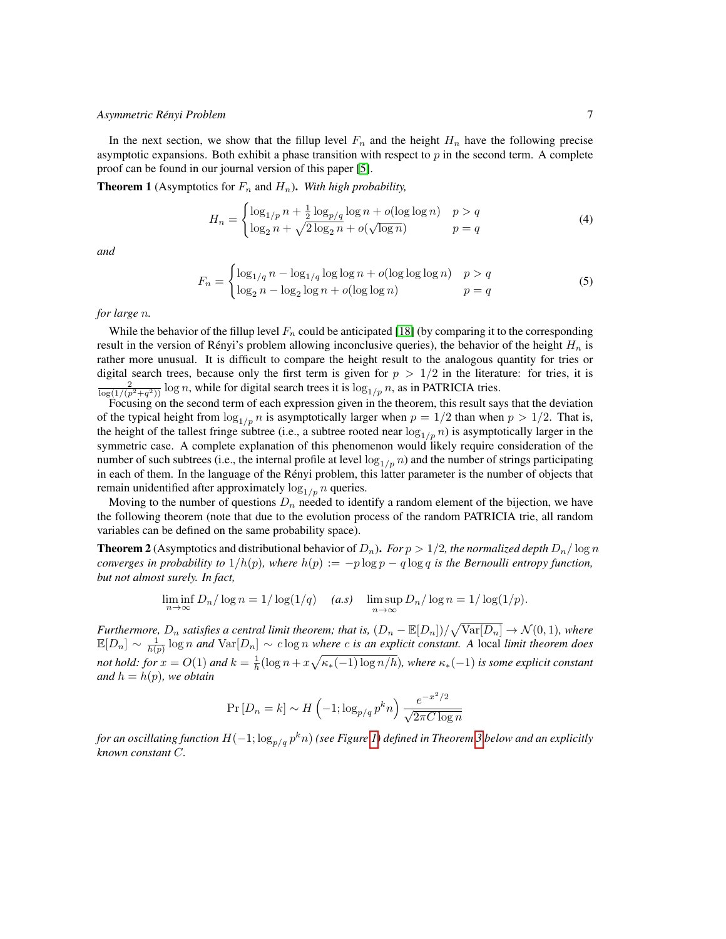In the next section, we show that the fillup level  $F_n$  and the height  $H_n$  have the following precise asymptotic expansions. Both exhibit a phase transition with respect to  $p$  in the second term. A complete proof can be found in our journal version of this paper [\[5\]](#page-16-3).

<span id="page-6-0"></span>**Theorem 1** (Asymptotics for  $F_n$  and  $H_n$ ). With high probability,

$$
H_n = \begin{cases} \log_{1/p} n + \frac{1}{2} \log_{p/q} \log n + o(\log \log n) & p > q\\ \log_2 n + \sqrt{2 \log_2 n} + o(\sqrt{\log n}) & p = q \end{cases}
$$
(4)

*and*

$$
F_n = \begin{cases} \log_{1/q} n - \log_{1/q} \log \log n + o(\log \log \log n) & p > q \\ \log_2 n - \log_2 \log n + o(\log \log n) & p = q \end{cases} \tag{5}
$$

*for large* n*.*

While the behavior of the fillup level  $F_n$  could be anticipated [\[18\]](#page-16-12) (by comparing it to the corresponding result in the version of Rényi's problem allowing inconclusive queries), the behavior of the height  $H_n$  is rather more unusual. It is difficult to compare the height result to the analogous quantity for tries or digital search trees, because only the first term is given for  $p > 1/2$  in the literature: for tries, it is  $\frac{2}{\log(1/(p^2+q^2))} \log n$ , while for digital search trees it is  $\log_{1/p} n$ , as in PATRICIA tries.

Focusing on the second term of each expression given in the theorem, this result says that the deviation of the typical height from  $\log_{1/p} n$  is asymptotically larger when  $p = 1/2$  than when  $p > 1/2$ . That is, the height of the tallest fringe subtree (i.e., a subtree rooted near  $\log_{1/p} n$ ) is asymptotically larger in the symmetric case. A complete explanation of this phenomenon would likely require consideration of the number of such subtrees (i.e., the internal profile at level  $\log_{1/p} n$ ) and the number of strings participating in each of them. In the language of the Renyi problem, this latter parameter is the number of objects that ´ remain unidentified after approximately  $\log_{1/p} n$  queries.

Moving to the number of questions  $D_n$  needed to identify a random element of the bijection, we have the following theorem (note that due to the evolution process of the random PATRICIA trie, all random variables can be defined on the same probability space).

<span id="page-6-1"></span>**Theorem 2** (Asymptotics and distributional behavior of  $D_n$ ). *For*  $p > 1/2$ , the normalized depth  $D_n/\log n$ *converges in probability to*  $1/h(p)$ *, where*  $h(p) := -p \log p - q \log q$  *is the Bernoulli entropy function, but not almost surely. In fact,*

$$
\liminf_{n \to \infty} D_n / \log n = 1 / \log(1/q) \quad (a.s) \quad \limsup_{n \to \infty} D_n / \log n = 1 / \log(1/p).
$$

*Furthermore,*  $D_n$  *satisfies a central limit theorem; that is,*  $(D_n - \mathbb{E}[D_n])/\sqrt{\text{Var}[D_n]} \to \mathcal{N}(0,1)$ *, where*  $\mathbb{E}[D_n] \sim \frac{1}{h(p)} \log n$  and  $\text{Var}[D_n] \sim c \log n$  where c is an explicit constant. A local limit theorem does *not hold: for*  $x = O(1)$  *and*  $k = \frac{1}{h}(\log n + x\sqrt{\kappa_*(-1)\log n/h})$ *, where*  $\kappa_*(-1)$  *is some explicit constant and*  $h = h(p)$ *, we obtain* 

$$
\Pr[D_n = k] \sim H\left(-1; \log_{p/q} p^k n\right) \frac{e^{-x^2/2}}{\sqrt{2\pi C \log n}}
$$

*for an oscillating function*  $H(-1;\log_{p/q}p^kn)$  *(see Figure [1\)](#page-7-0) defined in Theorem [3](#page-9-0) below and an explicitly known constant* C*.*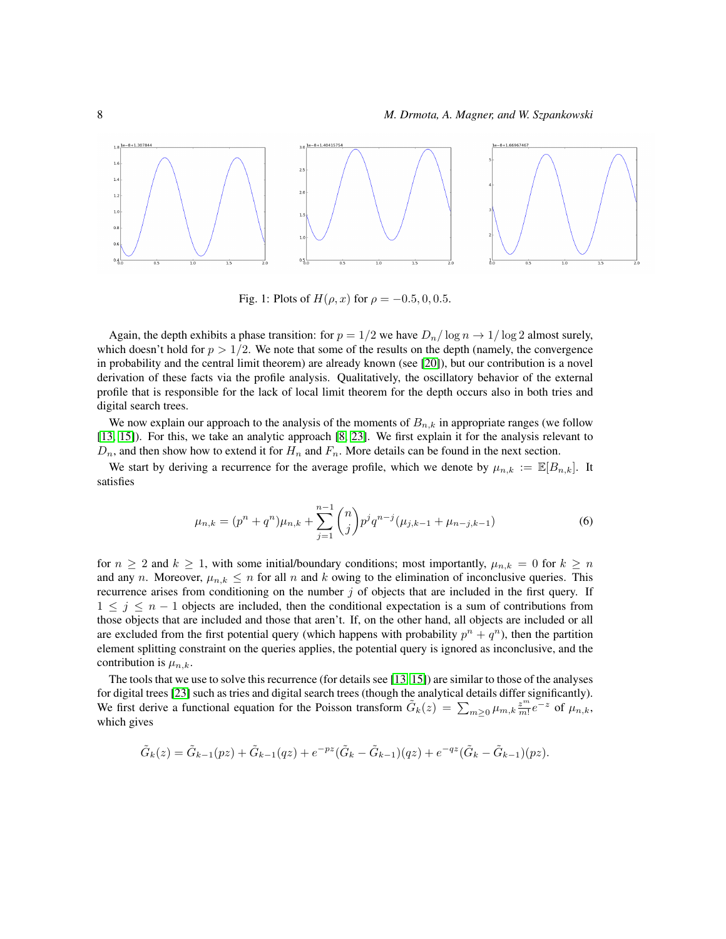<span id="page-7-0"></span>

Fig. 1: Plots of  $H(\rho, x)$  for  $\rho = -0.5, 0, 0.5$ .

Again, the depth exhibits a phase transition: for  $p = 1/2$  we have  $D_n / \log n \rightarrow 1 / \log 2$  almost surely, which doesn't hold for  $p > 1/2$ . We note that some of the results on the depth (namely, the convergence in probability and the central limit theorem) are already known (see [\[20\]](#page-17-3)), but our contribution is a novel derivation of these facts via the profile analysis. Qualitatively, the oscillatory behavior of the external profile that is responsible for the lack of local limit theorem for the depth occurs also in both tries and digital search trees.

We now explain our approach to the analysis of the moments of  $B_{n,k}$  in appropriate ranges (we follow [\[13,](#page-16-1) [15\]](#page-16-2)). For this, we take an analytic approach [\[8,](#page-16-13) [23\]](#page-17-1). We first explain it for the analysis relevant to  $D_n$ , and then show how to extend it for  $H_n$  and  $F_n$ . More details can be found in the next section.

We start by deriving a recurrence for the average profile, which we denote by  $\mu_{n,k} := \mathbb{E}[B_{n,k}]$ . It satisfies

$$
\mu_{n,k} = (p^n + q^n)\mu_{n,k} + \sum_{j=1}^{n-1} \binom{n}{j} p^j q^{n-j} (\mu_{j,k-1} + \mu_{n-j,k-1})
$$
\n(6)

for  $n \geq 2$  and  $k \geq 1$ , with some initial/boundary conditions; most importantly,  $\mu_{n,k} = 0$  for  $k \geq n$ and any n. Moreover,  $\mu_{n,k} \leq n$  for all n and k owing to the elimination of inconclusive queries. This recurrence arises from conditioning on the number j of objects that are included in the first query. If  $1 \leq j \leq n-1$  objects are included, then the conditional expectation is a sum of contributions from those objects that are included and those that aren't. If, on the other hand, all objects are included or all are excluded from the first potential query (which happens with probability  $p^{n} + q^{n}$ ), then the partition element splitting constraint on the queries applies, the potential query is ignored as inconclusive, and the contribution is  $\mu_{n,k}$ .

The tools that we use to solve this recurrence (for details see [\[13,](#page-16-1) [15\]](#page-16-2)) are similar to those of the analyses for digital trees [\[23\]](#page-17-1) such as tries and digital search trees (though the analytical details differ significantly). We first derive a functional equation for the Poisson transform  $\tilde{G}_k(z) = \sum_{m \geq 0} \mu_{m,k} \frac{z^m}{m!} e^{-z}$  of  $\mu_{n,k}$ , which gives

$$
\tilde{G}_k(z) = \tilde{G}_{k-1}(pz) + \tilde{G}_{k-1}(qz) + e^{-pz}(\tilde{G}_k - \tilde{G}_{k-1})(qz) + e^{-qz}(\tilde{G}_k - \tilde{G}_{k-1})(pz).
$$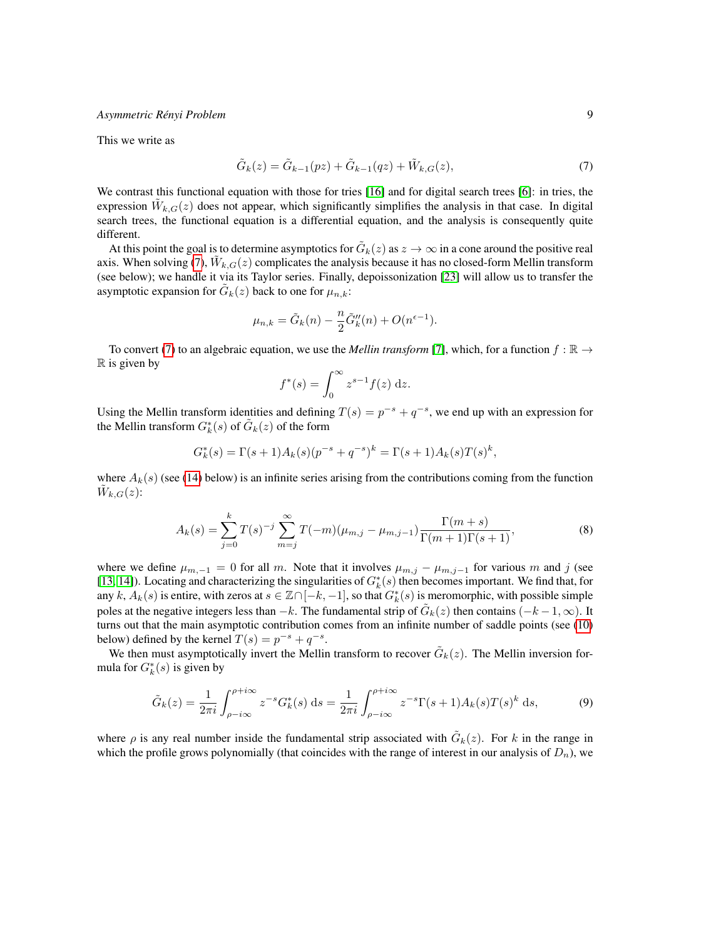This we write as

<span id="page-8-0"></span>
$$
\tilde{G}_k(z) = \tilde{G}_{k-1}(pz) + \tilde{G}_{k-1}(qz) + \tilde{W}_{k,G}(z),
$$
\n(7)

We contrast this functional equation with those for tries [\[16\]](#page-16-6) and for digital search trees [\[6\]](#page-16-7): in tries, the expression  $\tilde{W}_{k,G}(z)$  does not appear, which significantly simplifies the analysis in that case. In digital search trees, the functional equation is a differential equation, and the analysis is consequently quite different.

At this point the goal is to determine asymptotics for  $\tilde{G}_k(z)$  as  $z \to \infty$  in a cone around the positive real axis. When solving [\(7\)](#page-8-0),  $\tilde{W}_{k,G}(z)$  complicates the analysis because it has no closed-form Mellin transform (see below); we handle it via its Taylor series. Finally, depoissonization [\[23\]](#page-17-1) will allow us to transfer the asymptotic expansion for  $\tilde{G}_k(z)$  back to one for  $\mu_{n,k}$ :

$$
\mu_{n,k} = \tilde{G}_k(n) - \frac{n}{2}\tilde{G}_k''(n) + O(n^{\epsilon - 1}).
$$

To convert [\(7\)](#page-8-0) to an algebraic equation, we use the *Mellin transform* [\[7\]](#page-16-14), which, for a function  $f : \mathbb{R} \to$  $\mathbb R$  is given by

$$
f^*(s) = \int_0^\infty z^{s-1} f(z) \, \mathrm{d}z.
$$

Using the Mellin transform identities and defining  $T(s) = p^{-s} + q^{-s}$ , we end up with an expression for the Mellin transform  $G_k^*(s)$  of  $\tilde{G}_k(z)$  of the form

$$
G_k^*(s) = \Gamma(s+1)A_k(s)(p^{-s} + q^{-s})^k = \Gamma(s+1)A_k(s)T(s)^k,
$$

where  $A_k(s)$  (see [\(14\)](#page-9-1) below) is an infinite series arising from the contributions coming from the function  $\tilde{W}_{k,G}(z)$ :

$$
A_k(s) = \sum_{j=0}^k T(s)^{-j} \sum_{m=j}^{\infty} T(-m)(\mu_{m,j} - \mu_{m,j-1}) \frac{\Gamma(m+s)}{\Gamma(m+1)\Gamma(s+1)},
$$
(8)

where we define  $\mu_{m,-1} = 0$  for all m. Note that it involves  $\mu_{m,j} - \mu_{m,j-1}$  for various m and j (see [\[13,](#page-16-1) [14\]](#page-16-15)). Locating and characterizing the singularities of  $G_k^*(s)$  then becomes important. We find that, for any k,  $A_k(s)$  is entire, with zeros at  $s \in \mathbb{Z} \cap [-k, -1]$ , so that  $G_k^*(s)$  is meromorphic, with possible simple poles at the negative integers less than  $-k$ . The fundamental strip of  $\tilde{G}_k(z)$  then contains  $(-k-1,\infty)$ . It turns out that the main asymptotic contribution comes from an infinite number of saddle points (see [\(10\)](#page-9-2) below) defined by the kernel  $T(s) = p^{-s} + q^{-s}$ .

We then must asymptotically invert the Mellin transform to recover  $\tilde{G}_k(z)$ . The Mellin inversion formula for  $G_k^*(s)$  is given by

<span id="page-8-1"></span>
$$
\tilde{G}_k(z) = \frac{1}{2\pi i} \int_{\rho - i\infty}^{\rho + i\infty} z^{-s} G_k^*(s) \, \mathrm{d}s = \frac{1}{2\pi i} \int_{\rho - i\infty}^{\rho + i\infty} z^{-s} \Gamma(s+1) A_k(s) T(s)^k \, \mathrm{d}s,\tag{9}
$$

where  $\rho$  is any real number inside the fundamental strip associated with  $\tilde{G}_k(z)$ . For k in the range in which the profile grows polynomially (that coincides with the range of interest in our analysis of  $D_n$ ), we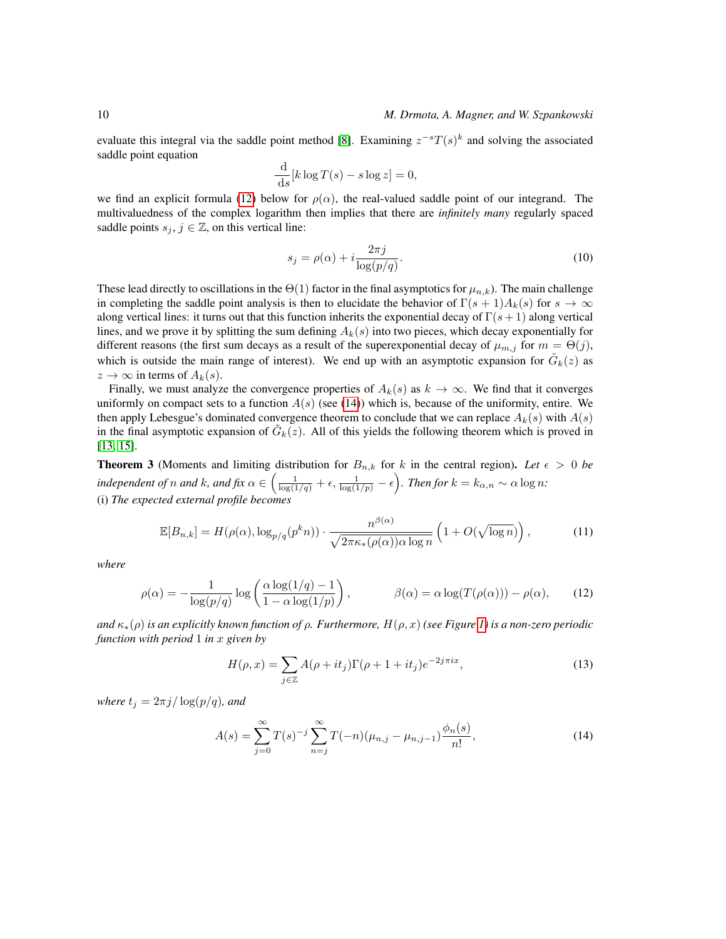evaluate this integral via the saddle point method [\[8\]](#page-16-13). Examining  $z^{-s}T(s)^k$  and solving the associated saddle point equation

$$
\frac{\mathrm{d}}{\mathrm{d}s}[k\log T(s) - s\log z] = 0,
$$

we find an explicit formula [\(12\)](#page-9-3) below for  $\rho(\alpha)$ , the real-valued saddle point of our integrand. The multivaluedness of the complex logarithm then implies that there are *infinitely many* regularly spaced saddle points  $s_j$ ,  $j \in \mathbb{Z}$ , on this vertical line:

<span id="page-9-2"></span>
$$
s_j = \rho(\alpha) + i \frac{2\pi j}{\log(p/q)}.
$$
\n(10)

These lead directly to oscillations in the  $\Theta(1)$  factor in the final asymptotics for  $\mu_{n,k}$ ). The main challenge in completing the saddle point analysis is then to elucidate the behavior of  $\Gamma(s+1)A_k(s)$  for  $s \to \infty$ along vertical lines: it turns out that this function inherits the exponential decay of  $\Gamma(s+1)$  along vertical lines, and we prove it by splitting the sum defining  $A_k(s)$  into two pieces, which decay exponentially for different reasons (the first sum decays as a result of the superexponential decay of  $\mu_{m,j}$  for  $m = \Theta(j)$ , which is outside the main range of interest). We end up with an asymptotic expansion for  $\tilde{G}_k(z)$  as  $z \to \infty$  in terms of  $A_k(s)$ .

Finally, we must analyze the convergence properties of  $A_k(s)$  as  $k \to \infty$ . We find that it converges uniformly on compact sets to a function  $A(s)$  (see [\(14\)](#page-9-1)) which is, because of the uniformity, entire. We then apply Lebesgue's dominated convergence theorem to conclude that we can replace  $A_k(s)$  with  $A(s)$ in the final asymptotic expansion of  $\tilde{G}_k(z)$ . All of this yields the following theorem which is proved in [\[13,](#page-16-1) [15\]](#page-16-2).

<span id="page-9-0"></span>**Theorem 3** (Moments and limiting distribution for  $B_{n,k}$  for k in the central region). Let  $\epsilon > 0$  be *independent of* n *and* k, and fix  $\alpha \in \left( \frac{1}{\log(1/q)} + \epsilon, \frac{1}{\log(1/p)} - \epsilon \right)$ . Then for  $k = k_{\alpha,n} \sim \alpha \log n$ : (i) *The expected external profile becomes*

$$
\mathbb{E}[B_{n,k}] = H(\rho(\alpha), \log_{p/q}(p^k n)) \cdot \frac{n^{\beta(\alpha)}}{\sqrt{2\pi\kappa_*(\rho(\alpha))\alpha \log n}} \left(1 + O(\sqrt{\log n})\right),\tag{11}
$$

*where*

$$
\rho(\alpha) = -\frac{1}{\log(p/q)} \log \left( \frac{\alpha \log(1/q) - 1}{1 - \alpha \log(1/p)} \right), \qquad \beta(\alpha) = \alpha \log(T(\rho(\alpha))) - \rho(\alpha), \qquad (12)
$$

*and* κ∗(ρ) *is an explicitly known function of* ρ*. Furthermore,* H(ρ, x) *(see Figure [1\)](#page-7-0) is a non-zero periodic function with period* 1 *in* x *given by*

<span id="page-9-3"></span><span id="page-9-1"></span>
$$
H(\rho, x) = \sum_{j \in \mathbb{Z}} A(\rho + it_j) \Gamma(\rho + 1 + it_j) e^{-2j\pi ix}, \tag{13}
$$

*where*  $t_j = 2\pi j / \log(p/q)$ *, and* 

$$
A(s) = \sum_{j=0}^{\infty} T(s)^{-j} \sum_{n=j}^{\infty} T(-n) (\mu_{n,j} - \mu_{n,j-1}) \frac{\phi_n(s)}{n!},
$$
\n(14)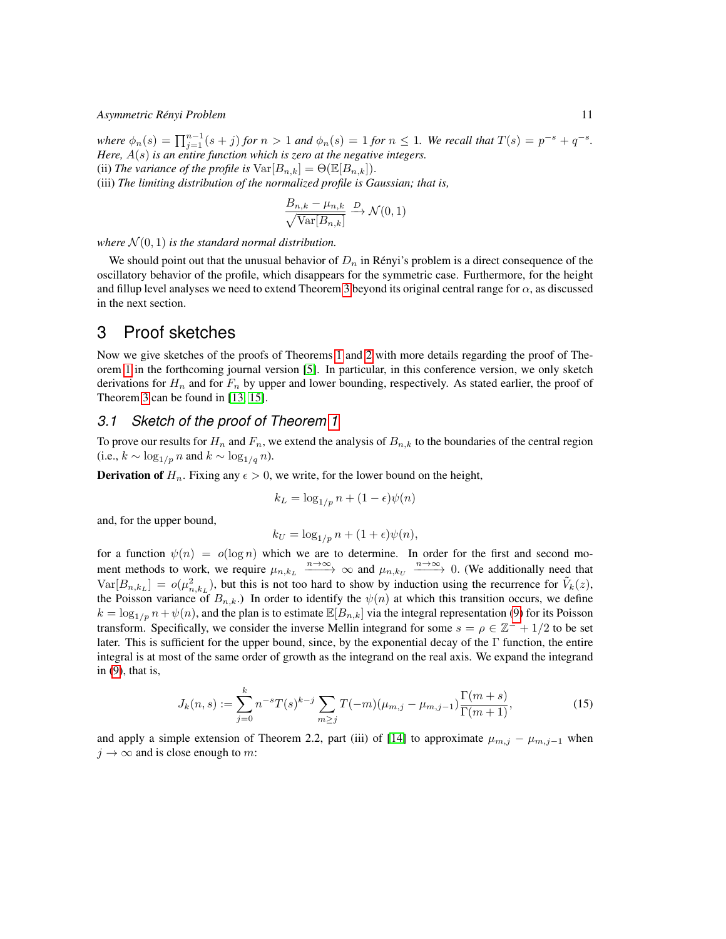$where \phi_n(s) = \prod_{j=1}^{n-1} (s+j) for n > 1$  and  $\phi_n(s) = 1$  *for*  $n \leq 1$ *. We recall that*  $T(s) = p^{-s} + q^{-s}$ *. Here,* A(s) *is an entire function which is zero at the negative integers.* (ii) *The variance of the profile is*  $\text{Var}[B_{n,k}] = \Theta(\mathbb{E}[B_{n,k}]).$ (iii) *The limiting distribution of the normalized profile is Gaussian; that is,*

$$
\frac{B_{n,k} - \mu_{n,k}}{\sqrt{\text{Var}[B_{n,k}]}} \xrightarrow{D} \mathcal{N}(0,1)
$$

where  $\mathcal{N}(0, 1)$  *is the standard normal distribution.* 

We should point out that the unusual behavior of  $D_n$  in Rényi's problem is a direct consequence of the oscillatory behavior of the profile, which disappears for the symmetric case. Furthermore, for the height and fillup level analyses we need to extend Theorem [3](#page-9-0) beyond its original central range for  $\alpha$ , as discussed in the next section.

### 3 Proof sketches

Now we give sketches of the proofs of Theorems [1](#page-6-0) and [2](#page-6-1) with more details regarding the proof of Theorem [1](#page-6-0) in the forthcoming journal version [\[5\]](#page-16-3). In particular, in this conference version, we only sketch derivations for  $H_n$  and for  $F_n$  by upper and lower bounding, respectively. As stated earlier, the proof of Theorem [3](#page-9-0) can be found in [\[13,](#page-16-1) [15\]](#page-16-2).

### *3.1 Sketch of the proof of Theorem [1](#page-6-0)*

To prove our results for  $H_n$  and  $F_n$ , we extend the analysis of  $B_{n,k}$  to the boundaries of the central region (i.e.,  $k \sim \log_{1/p} n$  and  $k \sim \log_{1/q} n$ ).

**Derivation of**  $H_n$ . Fixing any  $\epsilon > 0$ , we write, for the lower bound on the height,

$$
k_L = \log_{1/p} n + (1 - \epsilon)\psi(n)
$$

and, for the upper bound,

<span id="page-10-0"></span>
$$
k_U = \log_{1/p} n + (1 + \epsilon)\psi(n),
$$

for a function  $\psi(n) = o(\log n)$  which we are to determine. In order for the first and second moment methods to work, we require  $\mu_{n,k_L} \xrightarrow{n \to \infty} \infty$  and  $\mu_{n,k_U} \xrightarrow{n \to \infty} 0$ . (We additionally need that  $\text{Var}[B_{n,k_L}] = o(\mu_{n,k_L}^2)$ , but this is not too hard to show by induction using the recurrence for  $\tilde{V}_k(z)$ , the Poisson variance of  $B_{n,k}$ .) In order to identify the  $\psi(n)$  at which this transition occurs, we define  $k = \log_{1/p} n + \psi(n)$ , and the plan is to estimate  $\mathbb{E}[B_{n,k}]$  via the integral representation [\(9\)](#page-8-1) for its Poisson transform. Specifically, we consider the inverse Mellin integrand for some  $s = \rho \in \mathbb{Z}^- + 1/2$  to be set later. This is sufficient for the upper bound, since, by the exponential decay of the Γ function, the entire integral is at most of the same order of growth as the integrand on the real axis. We expand the integrand in [\(9\)](#page-8-1), that is,

$$
J_k(n,s) := \sum_{j=0}^k n^{-s} T(s)^{k-j} \sum_{m \ge j} T(-m) (\mu_{m,j} - \mu_{m,j-1}) \frac{\Gamma(m+s)}{\Gamma(m+1)},
$$
(15)

and apply a simple extension of Theorem 2.2, part (iii) of [\[14\]](#page-16-15) to approximate  $\mu_{m,j} - \mu_{m,j-1}$  when  $j \to \infty$  and is close enough to m: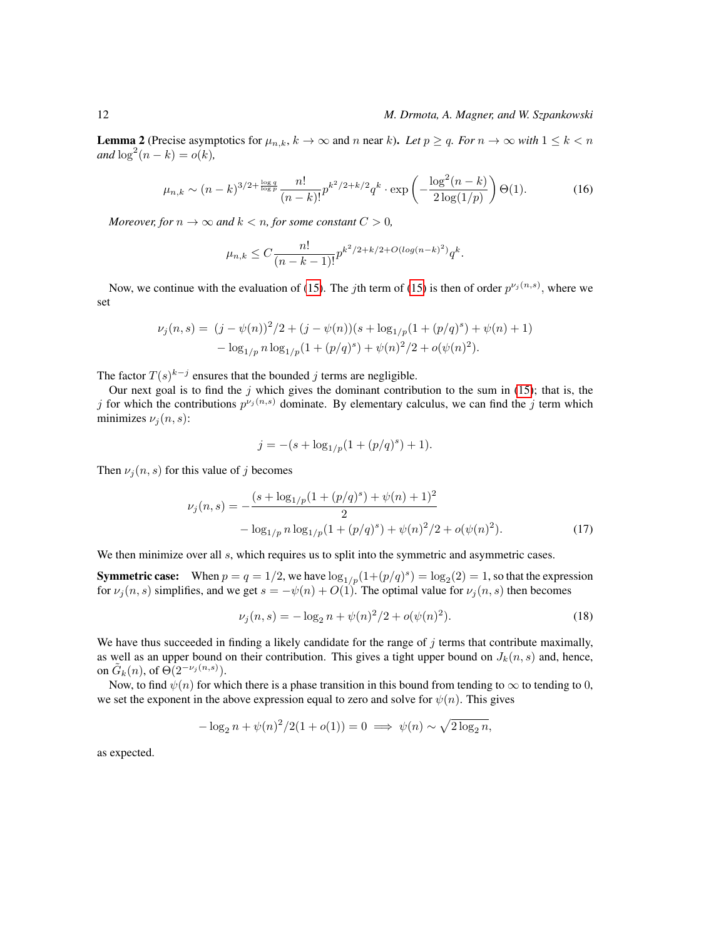**Lemma 2** (Precise asymptotics for  $\mu_{n,k}$ ,  $k \to \infty$  and n near k). Let  $p \ge q$ . For  $n \to \infty$  with  $1 \le k \le n$  $and \log^2(n-k) = o(k)$ ,

$$
\mu_{n,k} \sim (n-k)^{3/2 + \frac{\log q}{\log p}} \frac{n!}{(n-k)!} p^{k^2/2 + k/2} q^k \cdot \exp\left(-\frac{\log^2(n-k)}{2\log(1/p)}\right) \Theta(1). \tag{16}
$$

*Moreover, for*  $n \to \infty$  *and*  $k < n$ *, for some constant*  $C > 0$ *,* 

$$
\mu_{n,k} \le C \frac{n!}{(n-k-1)!} p^{k^2/2 + k/2 + O(\log(n-k)^2)} q^k.
$$

Now, we continue with the evaluation of [\(15\)](#page-10-0). The *j*th term of (15) is then of order  $p^{\nu_j(n,s)}$ , where we set

$$
\nu_j(n,s) = (j - \psi(n))^2/2 + (j - \psi(n))(s + \log_{1/p}(1 + (p/q)^s) + \psi(n) + 1)
$$
  
- 
$$
\log_{1/p} n \log_{1/p}(1 + (p/q)^s) + \psi(n)^2/2 + o(\psi(n)^2).
$$

The factor  $T(s)^{k-j}$  ensures that the bounded j terms are negligible.

Our next goal is to find the  $j$  which gives the dominant contribution to the sum in [\(15\)](#page-10-0); that is, the j for which the contributions  $p^{\nu_j(n,s)}$  dominate. By elementary calculus, we can find the j term which minimizes  $\nu_i(n, s)$ :

<span id="page-11-0"></span>
$$
j = -(s + \log_{1/p}(1 + (p/q)^s) + 1).
$$

Then  $\nu_i(n, s)$  for this value of j becomes

$$
\nu_j(n,s) = -\frac{(s + \log_{1/p}(1 + (p/q)^s) + \psi(n) + 1)^2}{2}
$$

$$
- \log_{1/p} n \log_{1/p}(1 + (p/q)^s) + \psi(n)^2/2 + o(\psi(n)^2).
$$
(17)

We then minimize over all s, which requires us to split into the symmetric and asymmetric cases.

**Symmetric case:** When  $p = q = 1/2$ , we have  $\log_{1/p}(1+(p/q)^s) = \log_2(2) = 1$ , so that the expression for  $\nu_j(n, s)$  simplifies, and we get  $s = -\psi(n) + O(1)$ . The optimal value for  $\nu_j(n, s)$  then becomes

$$
\nu_j(n,s) = -\log_2 n + \psi(n)^2/2 + o(\psi(n)^2). \tag{18}
$$

We have thus succeeded in finding a likely candidate for the range of  $j$  terms that contribute maximally, as well as an upper bound on their contribution. This gives a tight upper bound on  $J_k(n, s)$  and, hence, on  $\tilde{G}_k(n)$ , of  $\Theta(2^{-\nu_j(n,s)})$ .

Now, to find  $\psi(n)$  for which there is a phase transition in this bound from tending to  $\infty$  to tending to 0, we set the exponent in the above expression equal to zero and solve for  $\psi(n)$ . This gives

$$
-\log_2 n + \psi(n)^2/2(1 + o(1)) = 0 \implies \psi(n) \sim \sqrt{2\log_2 n},
$$

as expected.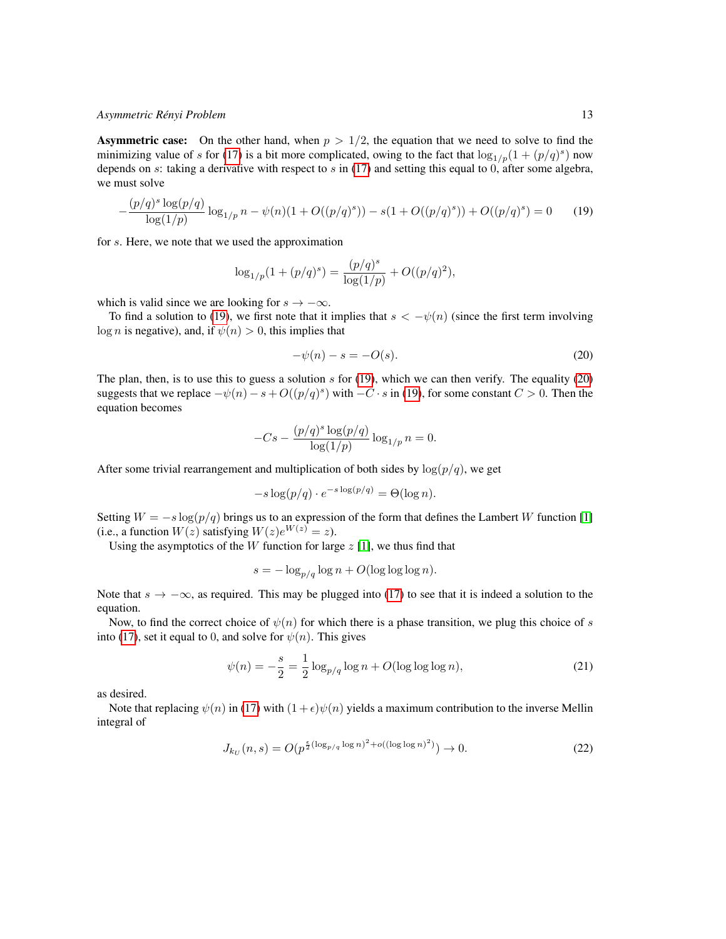**Asymmetric case:** On the other hand, when  $p > 1/2$ , the equation that we need to solve to find the minimizing value of s for [\(17\)](#page-11-0) is a bit more complicated, owing to the fact that  $\log_{1/p}(1+(p/q)^s)$  now depends on s: taking a derivative with respect to s in [\(17\)](#page-11-0) and setting this equal to 0, after some algebra, we must solve

$$
-\frac{(p/q)^s \log(p/q)}{\log(1/p)} \log_{1/p} n - \psi(n)(1 + O((p/q)^s)) - s(1 + O((p/q)^s)) + O((p/q)^s) = 0 \tag{19}
$$

for s. Here, we note that we used the approximation

$$
\log_{1/p}(1+(p/q)^s) = \frac{(p/q)^s}{\log(1/p)} + O((p/q)^2),
$$

which is valid since we are looking for  $s \to -\infty$ .

To find a solution to [\(19\)](#page-12-0), we first note that it implies that  $s < -\psi(n)$  (since the first term involving log *n* is negative), and, if  $\psi(n) > 0$ , this implies that

<span id="page-12-1"></span><span id="page-12-0"></span>
$$
-\psi(n) - s = -O(s). \tag{20}
$$

The plan, then, is to use this to guess a solution  $s$  for [\(19\)](#page-12-0), which we can then verify. The equality [\(20\)](#page-12-1) suggests that we replace  $-\psi(n) - s + O((p/q)^s)$  with  $-C \cdot s$  in [\(19\)](#page-12-0), for some constant  $C > 0$ . Then the equation becomes

$$
-Cs - \frac{(p/q)^s \log(p/q)}{\log(1/p)} \log_{1/p} n = 0.
$$

After some trivial rearrangement and multiplication of both sides by  $\log(p/q)$ , we get

$$
-s\log(p/q) \cdot e^{-s\log(p/q)} = \Theta(\log n).
$$

Setting  $W = -s \log(p/q)$  brings us to an expression of the form that defines the Lambert W function [\[1\]](#page-15-1) (i.e., a function  $W(z)$  satisfying  $W(z)e^{W(z)} = z$ ).

Using the asymptotics of the  $W$  function for large  $z$  [\[1\]](#page-15-1), we thus find that

$$
s = -\log_{p/q} \log n + O(\log \log \log n).
$$

Note that  $s \to -\infty$ , as required. This may be plugged into [\(17\)](#page-11-0) to see that it is indeed a solution to the equation.

Now, to find the correct choice of  $\psi(n)$  for which there is a phase transition, we plug this choice of s into [\(17\)](#page-11-0), set it equal to 0, and solve for  $\psi(n)$ . This gives

$$
\psi(n) = -\frac{s}{2} = \frac{1}{2}\log_{p/q}\log n + O(\log\log\log n),\tag{21}
$$

as desired.

Note that replacing  $\psi(n)$  in [\(17\)](#page-11-0) with  $(1+\epsilon)\psi(n)$  yields a maximum contribution to the inverse Mellin integral of

$$
J_{k_U}(n,s) = O(p^{\frac{\epsilon}{2}(\log_{p/q}\log n)^2 + o((\log\log n)^2)}) \to 0.
$$
 (22)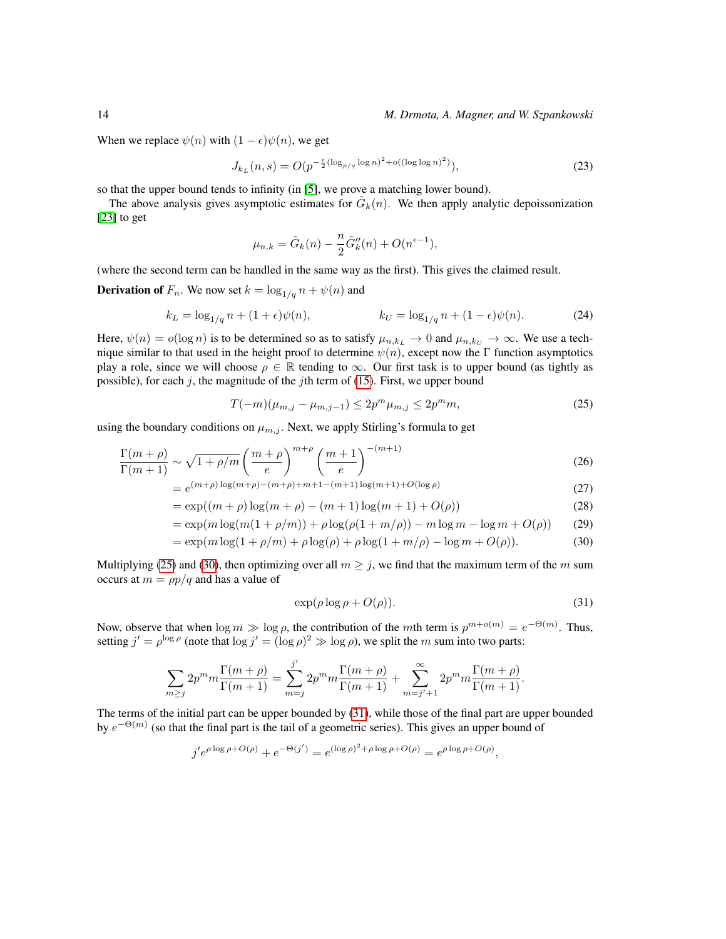### 14 *M. Drmota, A. Magner, and W. Szpankowski*

When we replace  $\psi(n)$  with  $(1 - \epsilon)\psi(n)$ , we get

$$
J_{k_L}(n,s) = O(p^{-\frac{\epsilon}{2}(\log_{p/q}\log n)^2 + o((\log\log n)^2)}),
$$
\n(23)

so that the upper bound tends to infinity (in [\[5\]](#page-16-3), we prove a matching lower bound).

The above analysis gives asymptotic estimates for  $\tilde{G}_k(n)$ . We then apply analytic depoissonization [\[23\]](#page-17-1) to get

<span id="page-13-3"></span>
$$
\mu_{n,k} = \tilde{G}_k(n) - \frac{n}{2}\tilde{G}_k''(n) + O(n^{\epsilon - 1}),
$$

(where the second term can be handled in the same way as the first). This gives the claimed result.

**Derivation of**  $F_n$ . We now set  $k = \log_{1/q} n + \psi(n)$  and

$$
k_L = \log_{1/q} n + (1 + \epsilon)\psi(n), \qquad k_U = \log_{1/q} n + (1 - \epsilon)\psi(n). \tag{24}
$$

Here,  $\psi(n) = o(\log n)$  is to be determined so as to satisfy  $\mu_{n,k_L} \to 0$  and  $\mu_{n,k_U} \to \infty$ . We use a technique similar to that used in the height proof to determine  $\psi(n)$ , except now the Γ function asymptotics play a role, since we will choose  $\rho \in \mathbb{R}$  tending to  $\infty$ . Our first task is to upper bound (as tightly as possible), for each j, the magnitude of the jth term of [\(15\)](#page-10-0). First, we upper bound

<span id="page-13-0"></span>
$$
T(-m)(\mu_{m,j} - \mu_{m,j-1}) \le 2p^m \mu_{m,j} \le 2p^m m,
$$
\n(25)

using the boundary conditions on  $\mu_{m,j}$ . Next, we apply Stirling's formula to get

$$
\frac{\Gamma(m+\rho)}{\Gamma(m+1)} \sim \sqrt{1+\rho/m} \left(\frac{m+\rho}{e}\right)^{m+\rho} \left(\frac{m+1}{e}\right)^{-(m+1)}
$$
\n(26)

$$
= e^{(m+\rho)\log(m+\rho) - (m+\rho) + m + 1 - (m+1)\log(m+1) + O(\log\rho)}
$$
\n(27)

$$
= \exp((m+\rho)\log(m+\rho) - (m+1)\log(m+1) + O(\rho))
$$
\n(28)

$$
= \exp(m \log(m(1 + \rho/m)) + \rho \log(\rho(1 + m/\rho)) - m \log m - \log m + O(\rho))
$$
 (29)

$$
= \exp(m \log(1 + \rho/m) + \rho \log(\rho) + \rho \log(1 + m/\rho) - \log m + O(\rho)).
$$
 (30)

Multiplying [\(25\)](#page-13-0) and [\(30\)](#page-13-1), then optimizing over all  $m \geq j$ , we find that the maximum term of the m sum occurs at  $m = \rho p/q$  and has a value of

<span id="page-13-2"></span><span id="page-13-1"></span>
$$
\exp(\rho \log \rho + O(\rho)).\tag{31}
$$

Now, observe that when  $\log m \gg \log \rho$ , the contribution of the mth term is  $p^{m+o(m)} = e^{-\Theta(m)}$ . Thus, setting  $j' = \rho^{\log \rho}$  (note that  $\log j' = (\log \rho)^2 \gg \log \rho$ ), we split the m sum into two parts:

$$
\sum_{m\geq j} 2p^m m \frac{\Gamma(m+\rho)}{\Gamma(m+1)} = \sum_{m=j}^{j'} 2p^m m \frac{\Gamma(m+\rho)}{\Gamma(m+1)} + \sum_{m=j'+1}^{\infty} 2p^m m \frac{\Gamma(m+\rho)}{\Gamma(m+1)}.
$$

The terms of the initial part can be upper bounded by [\(31\)](#page-13-2), while those of the final part are upper bounded by  $e^{-\Theta(m)}$  (so that the final part is the tail of a geometric series). This gives an upper bound of

$$
j'e^{\rho \log \rho + O(\rho)} + e^{-\Theta(j')} = e^{(\log \rho)^2 + \rho \log \rho + O(\rho)} = e^{\rho \log \rho + O(\rho)},
$$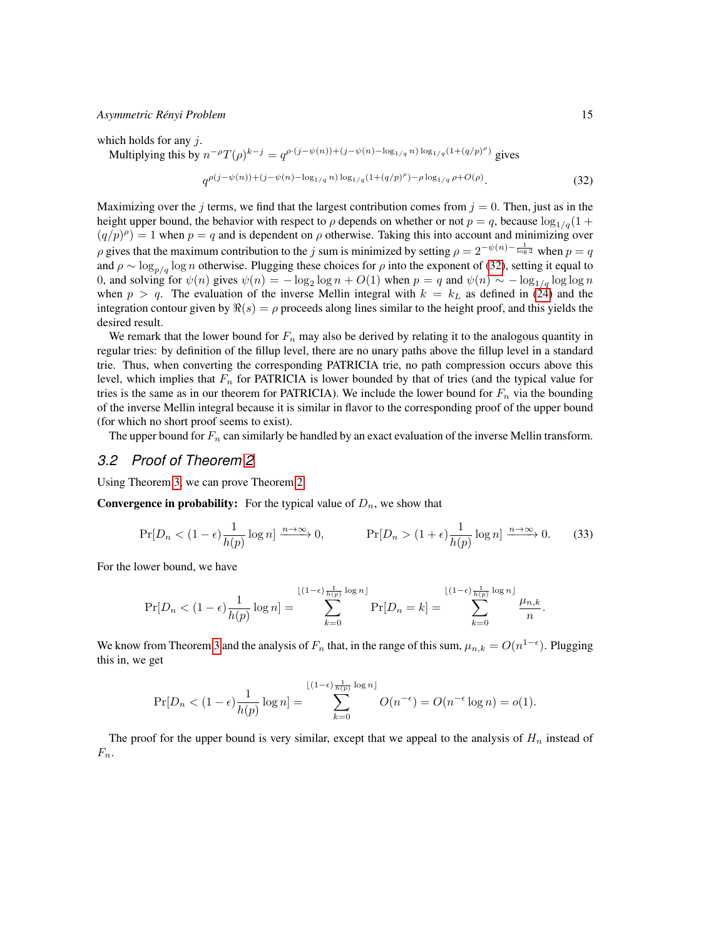which holds for any  $i$ .

Multiplying this by  $n^{-\rho}T(\rho)^{k-j} = q^{\rho\cdot(j-\psi(n)) + (j-\psi(n) - \log_{1/q} n) \log_{1/q}(1+(q/p)^{\rho})}$  gives

<span id="page-14-0"></span>
$$
q^{\rho(j-\psi(n)) + (j-\psi(n) - \log_{1/q} n) \log_{1/q} (1 + (q/p)^{\rho}) - \rho \log_{1/q} \rho + O(\rho)}.
$$
\n(32)

Maximizing over the j terms, we find that the largest contribution comes from  $j = 0$ . Then, just as in the height upper bound, the behavior with respect to  $\rho$  depends on whether or not  $p = q$ , because  $\log_{1/q}(1 +$  $(q/p)^{\rho}$  = 1 when  $p = q$  and is dependent on  $\rho$  otherwise. Taking this into account and minimizing over ρ gives that the maximum contribution to the j sum is minimized by setting  $\rho = 2^{-\psi(n) - \frac{1}{\log 2}}$  when  $p = q$ and  $\rho \sim \log_{p/q} \log n$  otherwise. Plugging these choices for  $\rho$  into the exponent of [\(32\)](#page-14-0), setting it equal to 0, and solving for  $\psi(n)$  gives  $\psi(n) = -\log_2 \log n + O(1)$  when  $p = q$  and  $\psi(n) \sim -\log_{1/q} \log \log n$ when  $p > q$ . The evaluation of the inverse Mellin integral with  $k = k<sub>L</sub>$  as defined in [\(24\)](#page-13-3) and the integration contour given by  $\Re(s) = \rho$  proceeds along lines similar to the height proof, and this yields the desired result.

We remark that the lower bound for  $F_n$  may also be derived by relating it to the analogous quantity in regular tries: by definition of the fillup level, there are no unary paths above the fillup level in a standard trie. Thus, when converting the corresponding PATRICIA trie, no path compression occurs above this level, which implies that  $F_n$  for PATRICIA is lower bounded by that of tries (and the typical value for tries is the same as in our theorem for PATRICIA). We include the lower bound for  $F_n$  via the bounding of the inverse Mellin integral because it is similar in flavor to the corresponding proof of the upper bound (for which no short proof seems to exist).

The upper bound for  $F_n$  can similarly be handled by an exact evaluation of the inverse Mellin transform.

### *3.2 Proof of Theorem [2](#page-6-1)*

Using Theorem [3,](#page-9-0) we can prove Theorem [2.](#page-6-1)

**Convergence in probability:** For the typical value of  $D_n$ , we show that

$$
\Pr[D_n < (1 - \epsilon) \frac{1}{h(p)} \log n] \xrightarrow{n \to \infty} 0, \qquad \Pr[D_n > (1 + \epsilon) \frac{1}{h(p)} \log n] \xrightarrow{n \to \infty} 0. \tag{33}
$$

For the lower bound, we have

$$
\Pr[D_n < (1-\epsilon)\frac{1}{h(p)}\log n] = \sum_{k=0}^{\lfloor (1-\epsilon)\frac{1}{h(p)}\log n \rfloor} \Pr[D_n = k] = \sum_{k=0}^{\lfloor (1-\epsilon)\frac{1}{h(p)}\log n \rfloor} \frac{\mu_{n,k}}{n}.
$$

We know from Theorem [3](#page-9-0) and the analysis of  $F_n$  that, in the range of this sum,  $\mu_{n,k} = O(n^{1-\epsilon})$ . Plugging this in, we get

$$
\Pr[D_n < (1 - \epsilon) \frac{1}{h(p)} \log n] = \sum_{k=0}^{\lfloor (1 - \epsilon) \frac{1}{h(p)} \log n \rfloor} O(n^{-\epsilon}) = O(n^{-\epsilon} \log n) = o(1).
$$

The proof for the upper bound is very similar, except that we appeal to the analysis of  $H_n$  instead of  $F_n$ .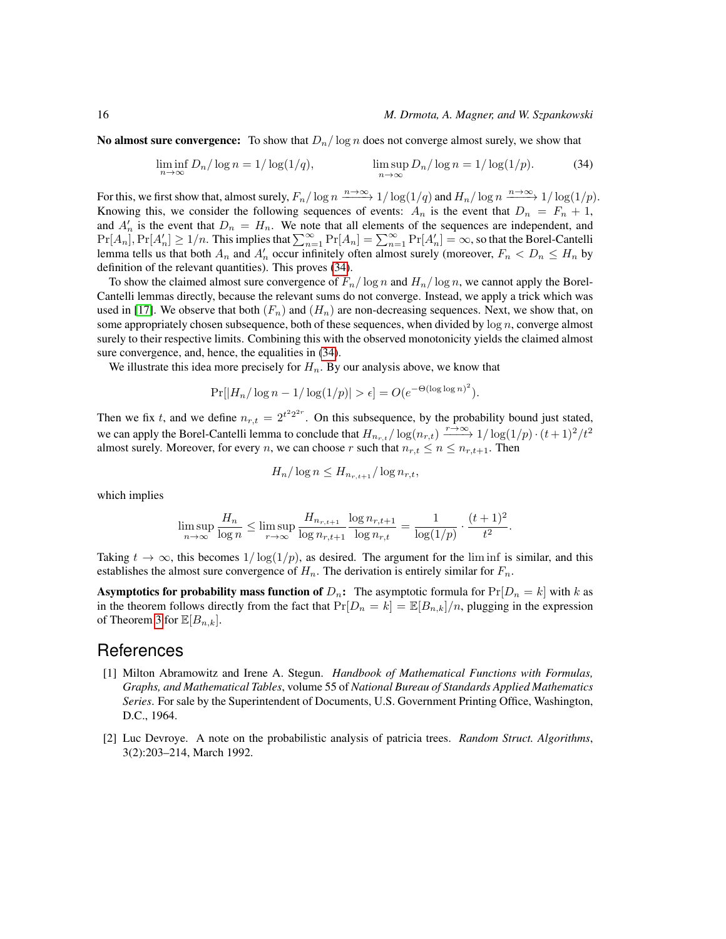**No almost sure convergence:** To show that  $D_n/\log n$  does not converge almost surely, we show that

<span id="page-15-2"></span>
$$
\liminf_{n \to \infty} D_n / \log n = 1 / \log(1/q), \qquad \limsup_{n \to \infty} D_n / \log n = 1 / \log(1/p). \tag{34}
$$

For this, we first show that, almost surely,  $F_n/\log n \xrightarrow{n\to\infty} 1/\log(1/q)$  and  $H_n/\log n \xrightarrow{n\to\infty} 1/\log(1/p)$ . Knowing this, we consider the following sequences of events:  $A_n$  is the event that  $D_n = F_n + 1$ , and  $A'_n$  is the event that  $D_n = H_n$ . We note that all elements of the sequences are independent, and  $Pr[A_n], Pr[A_n'] \ge 1/n$ . This implies that  $\sum_{n=1}^{\infty} Pr[A_n] = \sum_{n=1}^{\infty} Pr[A_n'] = \infty$ , so that the Borel-Cantelli lemma tells us that both  $A_n$  and  $A'_n$  occur infinitely often almost surely (moreover,  $F_n < D_n \leq H_n$  by definition of the relevant quantities). This proves [\(34\)](#page-15-2).

To show the claimed almost sure convergence of  $F_n/\log n$  and  $H_n/\log n$ , we cannot apply the Borel-Cantelli lemmas directly, because the relevant sums do not converge. Instead, we apply a trick which was used in [\[17\]](#page-16-11). We observe that both  $(F_n)$  and  $(H_n)$  are non-decreasing sequences. Next, we show that, on some appropriately chosen subsequence, both of these sequences, when divided by  $\log n$ , converge almost surely to their respective limits. Combining this with the observed monotonicity yields the claimed almost sure convergence, and, hence, the equalities in  $(34)$ .

We illustrate this idea more precisely for  $H_n$ . By our analysis above, we know that

$$
Pr[|H_n/\log n - 1/\log(1/p)| > \epsilon] = O(e^{-\Theta(\log \log n)^2}).
$$

Then we fix t, and we define  $n_{r,t} = 2^{t^2 2^{2r}}$ . On this subsequence, by the probability bound just stated, we can apply the Borel-Cantelli lemma to conclude that  $H_{n_r,t}/\log(n_{r,t}) \xrightarrow{r \to \infty} 1/\log(1/p) \cdot (t+1)^2/t^2$ almost surely. Moreover, for every n, we can choose r such that  $n_{r,t} \leq n \leq n_{r,t+1}$ . Then

$$
H_n/\log n \le H_{n_{r,t+1}}/\log n_{r,t},
$$

which implies

$$
\limsup_{n \to \infty} \frac{H_n}{\log n} \le \limsup_{r \to \infty} \frac{H_{n_{r,t+1}}}{\log n_{r,t+1}} \frac{\log n_{r,t+1}}{\log n_{r,t}} = \frac{1}{\log(1/p)} \cdot \frac{(t+1)^2}{t^2}.
$$

Taking  $t \to \infty$ , this becomes  $1/\log(1/p)$ , as desired. The argument for the lim inf is similar, and this establishes the almost sure convergence of  $H_n$ . The derivation is entirely similar for  $F_n$ .

**Asymptotics for probability mass function of**  $D_n$ : The asymptotic formula for  $Pr[D_n = k]$  with k as in the theorem follows directly from the fact that  $Pr[D_n = k] = \mathbb{E}[B_{n,k}]/n$ , plugging in the expression of Theorem [3](#page-9-0) for  $\mathbb{E}[B_{n,k}].$ 

### References

- <span id="page-15-1"></span>[1] Milton Abramowitz and Irene A. Stegun. *Handbook of Mathematical Functions with Formulas, Graphs, and Mathematical Tables*, volume 55 of *National Bureau of Standards Applied Mathematics Series*. For sale by the Superintendent of Documents, U.S. Government Printing Office, Washington, D.C., 1964.
- <span id="page-15-0"></span>[2] Luc Devroye. A note on the probabilistic analysis of patricia trees. *Random Struct. Algorithms*, 3(2):203–214, March 1992.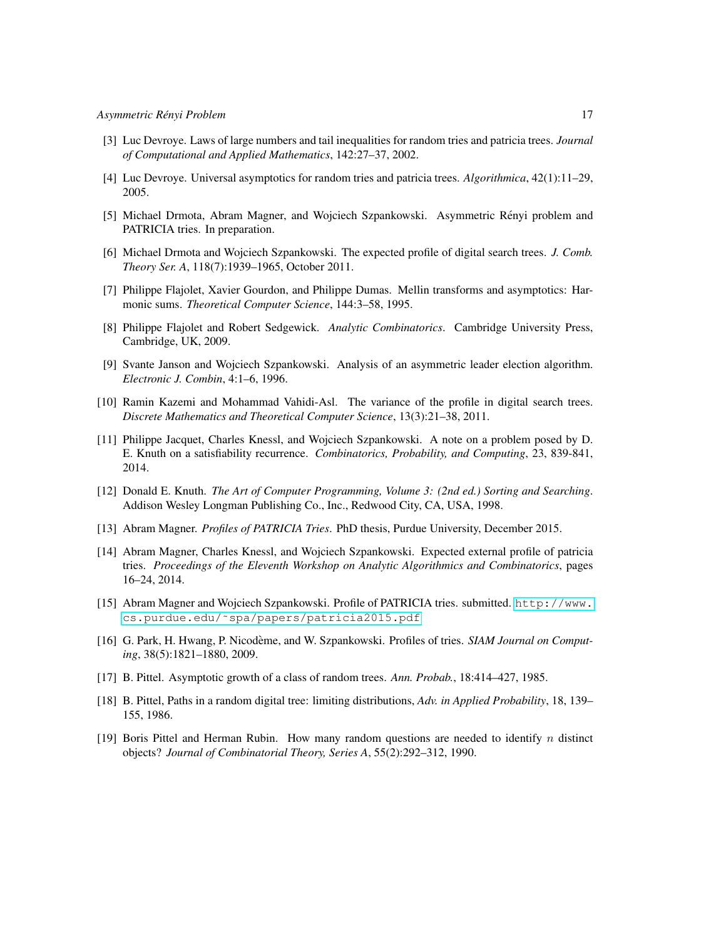- <span id="page-16-10"></span>[3] Luc Devroye. Laws of large numbers and tail inequalities for random tries and patricia trees. *Journal of Computational and Applied Mathematics*, 142:27–37, 2002.
- <span id="page-16-9"></span>[4] Luc Devroye. Universal asymptotics for random tries and patricia trees. *Algorithmica*, 42(1):11–29, 2005.
- <span id="page-16-3"></span>[5] Michael Drmota, Abram Magner, and Wojciech Szpankowski. Asymmetric Renyi problem and ´ PATRICIA tries. In preparation.
- <span id="page-16-7"></span>[6] Michael Drmota and Wojciech Szpankowski. The expected profile of digital search trees. *J. Comb. Theory Ser. A*, 118(7):1939–1965, October 2011.
- <span id="page-16-14"></span>[7] Philippe Flajolet, Xavier Gourdon, and Philippe Dumas. Mellin transforms and asymptotics: Harmonic sums. *Theoretical Computer Science*, 144:3–58, 1995.
- <span id="page-16-13"></span>[8] Philippe Flajolet and Robert Sedgewick. *Analytic Combinatorics*. Cambridge University Press, Cambridge, UK, 2009.
- <span id="page-16-5"></span>[9] Svante Janson and Wojciech Szpankowski. Analysis of an asymmetric leader election algorithm. *Electronic J. Combin*, 4:1–6, 1996.
- <span id="page-16-8"></span>[10] Ramin Kazemi and Mohammad Vahidi-Asl. The variance of the profile in digital search trees. *Discrete Mathematics and Theoretical Computer Science*, 13(3):21–38, 2011.
- [11] Philippe Jacquet, Charles Knessl, and Wojciech Szpankowski. A note on a problem posed by D. E. Knuth on a satisfiability recurrence. *Combinatorics, Probability, and Computing*, 23, 839-841, 2014.
- <span id="page-16-4"></span>[12] Donald E. Knuth. *The Art of Computer Programming, Volume 3: (2nd ed.) Sorting and Searching*. Addison Wesley Longman Publishing Co., Inc., Redwood City, CA, USA, 1998.
- <span id="page-16-1"></span>[13] Abram Magner. *Profiles of PATRICIA Tries*. PhD thesis, Purdue University, December 2015.
- <span id="page-16-15"></span>[14] Abram Magner, Charles Knessl, and Wojciech Szpankowski. Expected external profile of patricia tries. *Proceedings of the Eleventh Workshop on Analytic Algorithmics and Combinatorics*, pages 16–24, 2014.
- <span id="page-16-2"></span>[15] Abram Magner and Wojciech Szpankowski. Profile of PATRICIA tries. submitted. [http://www.](http://www.cs.purdue.edu/~spa/papers/patricia2015.pdf) [cs.purdue.edu/˜spa/papers/patricia2015.pdf](http://www.cs.purdue.edu/~spa/papers/patricia2015.pdf)
- <span id="page-16-6"></span>[16] G. Park, H. Hwang, P. Nicodeme, and W. Szpankowski. Profiles of tries. ` *SIAM Journal on Computing*, 38(5):1821–1880, 2009.
- <span id="page-16-11"></span>[17] B. Pittel. Asymptotic growth of a class of random trees. *Ann. Probab.*, 18:414–427, 1985.
- <span id="page-16-12"></span>[18] B. Pittel, Paths in a random digital tree: limiting distributions, *Adv. in Applied Probability*, 18, 139– 155, 1986.
- <span id="page-16-0"></span>[19] Boris Pittel and Herman Rubin. How many random questions are needed to identify n distinct objects? *Journal of Combinatorial Theory, Series A*, 55(2):292–312, 1990.